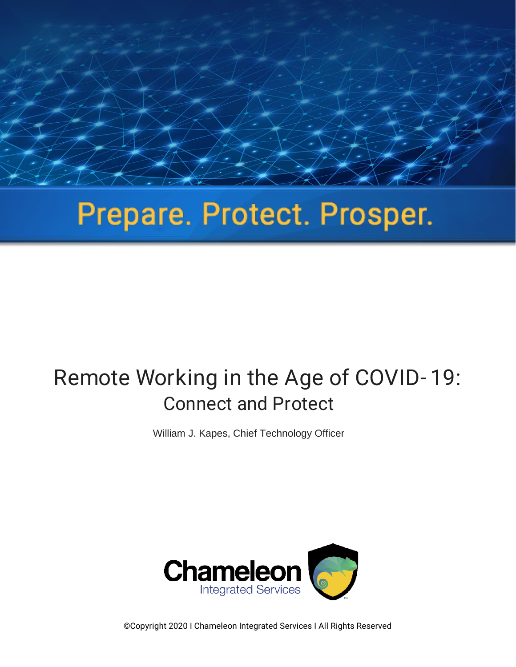# Prepare. Protect. Prosper.

President of the protection of the protection of the protection of the protection of the protection of the protection of the protection of the protection of the protection of the protection of the protection of the protect

## Remote Working in the Age of COVID- 19: Connect and Protect

William J. Kapes, Chief Technology Officer



©Copyright 2020 I Chameleon Integrated Services I All Rights Reserved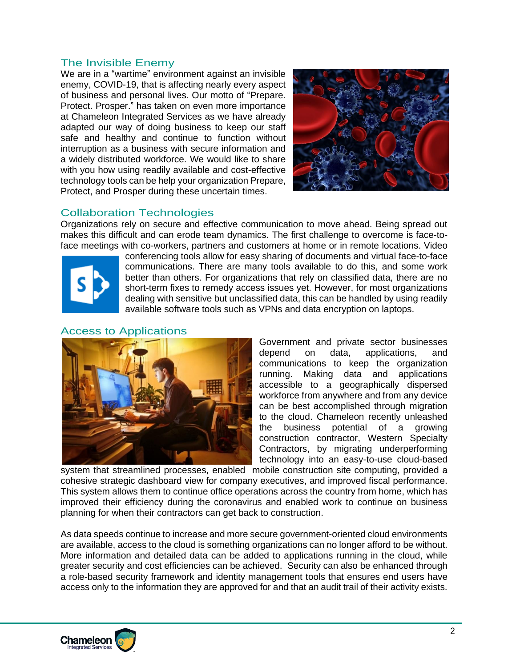#### The Invisible Enemy

We are in a "wartime" environment against an invisible enemy, COVID-19, that is affecting nearly every aspect of business and personal lives. Our motto of "Prepare. Protect. Prosper." has taken on even more importance at Chameleon Integrated Services as we have already adapted our way of doing business to keep our staff safe and healthy and continue to function without interruption as a business with secure information and a widely distributed workforce. We would like to share with you how using readily available and cost-effective technology tools can be help your organization Prepare, Protect, and Prosper during these uncertain times.



#### Collaboration Technologies

Organizations rely on secure and effective communication to move ahead. Being spread out makes this difficult and can erode team dynamics. The first challenge to overcome is face-toface meetings with co-workers, partners and customers at home or in remote locations. Video



conferencing tools allow for easy sharing of documents and virtual face-to-face communications. There are many tools available to do this, and some work better than others. For organizations that rely on classified data, there are no short-term fixes to remedy access issues yet. However, for most organizations dealing with sensitive but unclassified data, this can be handled by using readily available software tools such as VPNs and data encryption on laptops.

#### Access to Applications



Government and private sector businesses depend on data, applications, and communications to keep the organization running. Making data and applications accessible to a geographically dispersed workforce from anywhere and from any device can be best accomplished through migration to the cloud. Chameleon recently unleashed the business potential of a growing construction contractor, Western Specialty Contractors, by migrating underperforming technology into an easy-to-use cloud-based

system that streamlined processes, enabled mobile construction site computing, provided a cohesive strategic dashboard view for company executives, and improved fiscal performance. This system allows them to continue office operations across the country from home, which has improved their efficiency during the coronavirus and enabled work to continue on business planning for when their contractors can get back to construction.

As data speeds continue to increase and more secure government-oriented cloud environments are available, access to the cloud is something organizations can no longer afford to be without. More information and detailed data can be added to applications running in the cloud, while greater security and cost efficiencies can be achieved. Security can also be enhanced through a role-based security framework and identity management tools that ensures end users have access only to the information they are approved for and that an audit trail of their activity exists.